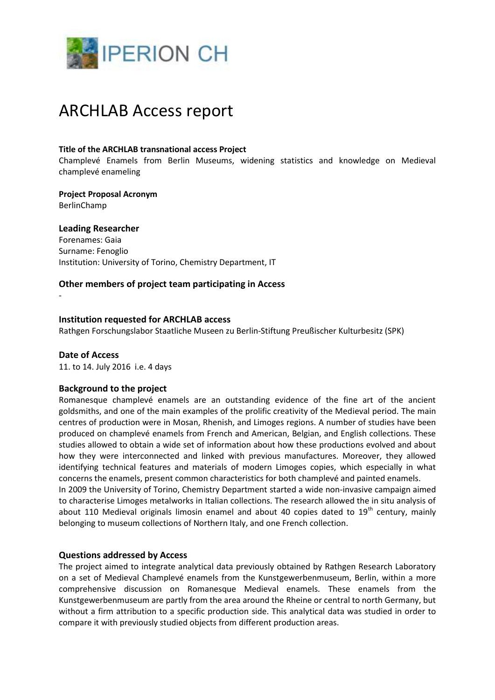

# ARCHLAB Access report

#### **Title of the ARCHLAB transnational access Project**

Champlevé Enamels from Berlin Museums, widening statistics and knowledge on Medieval champlevé enameling

**Project Proposal Acronym** BerlinChamp

## **Leading Researcher**

Forenames: Gaia Surname: Fenoglio Institution: University of Torino, Chemistry Department, IT

## **Other members of project team participating in Access**

#### **Institution requested for ARCHLAB access**

Rathgen Forschungslabor Staatliche Museen zu Berlin-Stiftung Preußischer Kulturbesitz (SPK)

#### **Date of Access**

-

11. to 14. July 2016 i.e. 4 days

#### **Background to the project**

Romanesque champlevé enamels are an outstanding evidence of the fine art of the ancient goldsmiths, and one of the main examples of the prolific creativity of the Medieval period. The main centres of production were in Mosan, Rhenish, and Limoges regions. A number of studies have been produced on champlevé enamels from French and American, Belgian, and English collections. These studies allowed to obtain a wide set of information about how these productions evolved and about how they were interconnected and linked with previous manufactures. Moreover, they allowed identifying technical features and materials of modern Limoges copies, which especially in what concerns the enamels, present common characteristics for both champlevé and painted enamels.

In 2009 the University of Torino, Chemistry Department started a wide non-invasive campaign aimed to characterise Limoges metalworks in Italian collections. The research allowed the in situ analysis of about 110 Medieval originals limosin enamel and about 40 copies dated to  $19<sup>th</sup>$  century, mainly belonging to museum collections of Northern Italy, and one French collection.

#### **Questions addressed by Access**

The project aimed to integrate analytical data previously obtained by Rathgen Research Laboratory on a set of Medieval Champlevé enamels from the Kunstgewerbenmuseum, Berlin, within a more comprehensive discussion on Romanesque Medieval enamels. These enamels from the Kunstgewerbenmuseum are partly from the area around the Rheine or central to north Germany, but without a firm attribution to a specific production side. This analytical data was studied in order to compare it with previously studied objects from different production areas.